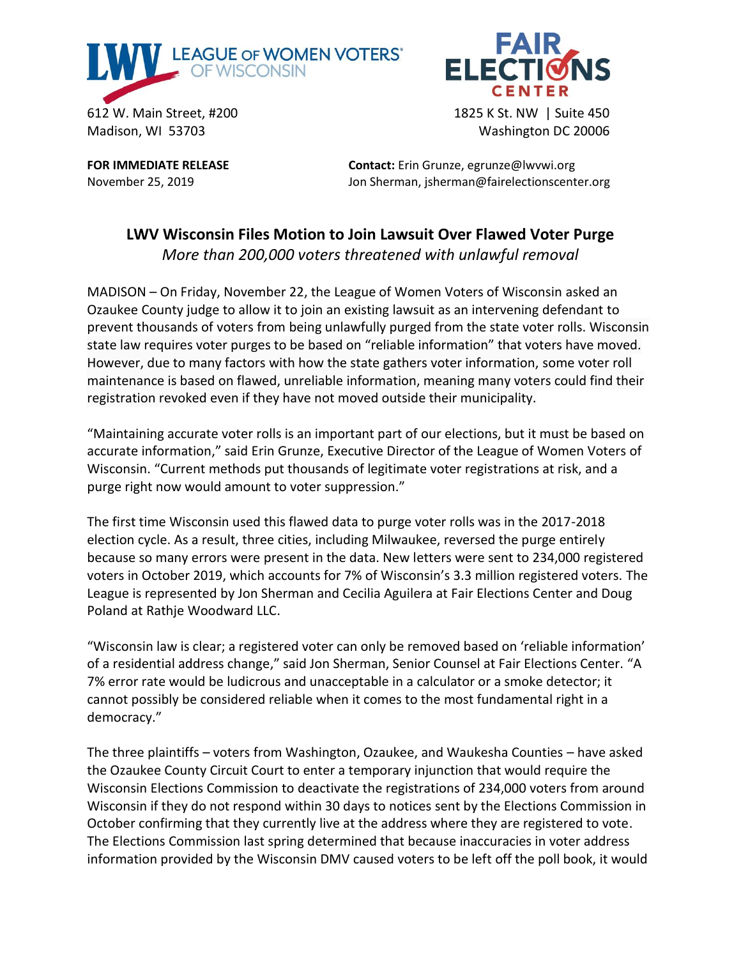



Madison, WI 53703 Washington DC 20006

**FOR IMMEDIATE RELEASE Contact:** Erin Grunze, egrunze@lwvwi.org November 25, 2019 **Jon Sherman, isherman@fairelectionscenter.org** 

## **LWV Wisconsin Files Motion to Join Lawsuit Over Flawed Voter Purge** *More than 200,000 voters threatened with unlawful removal*

MADISON – On Friday, November 22, the League of Women Voters of Wisconsin asked an Ozaukee County judge to allow it to join an existing lawsuit as an intervening defendant to prevent thousands of voters from being unlawfully purged from the state voter rolls. Wisconsin state law requires voter purges to be based on "reliable information" that voters have moved. However, due to many factors with how the state gathers voter information, some voter roll maintenance is based on flawed, unreliable information, meaning many voters could find their registration revoked even if they have not moved outside their municipality.

"Maintaining accurate voter rolls is an important part of our elections, but it must be based on accurate information," said Erin Grunze, Executive Director of the League of Women Voters of Wisconsin. "Current methods put thousands of legitimate voter registrations at risk, and a purge right now would amount to voter suppression."

The first time Wisconsin used this flawed data to purge voter rolls was in the 2017-2018 election cycle. As a result, three cities, including Milwaukee, reversed the purge entirely because so many errors were present in the data. New letters were sent to 234,000 registered voters in October 2019, which accounts for 7% of Wisconsin's 3.3 million registered voters. The League is represented by Jon Sherman and Cecilia Aguilera at Fair Elections Center and Doug Poland at Rathje Woodward LLC.

"Wisconsin law is clear; a registered voter can only be removed based on 'reliable information' of a residential address change," said Jon Sherman, Senior Counsel at Fair Elections Center. "A 7% error rate would be ludicrous and unacceptable in a calculator or a smoke detector; it cannot possibly be considered reliable when it comes to the most fundamental right in a democracy."

The three plaintiffs – voters from Washington, Ozaukee, and Waukesha Counties – have asked the Ozaukee County Circuit Court to enter a temporary injunction that would require the Wisconsin Elections Commission to deactivate the registrations of 234,000 voters from around Wisconsin if they do not respond within 30 days to notices sent by the Elections Commission in October confirming that they currently live at the address where they are registered to vote. The Elections Commission last spring determined that because inaccuracies in voter address information provided by the Wisconsin DMV caused voters to be left off the poll book, it would